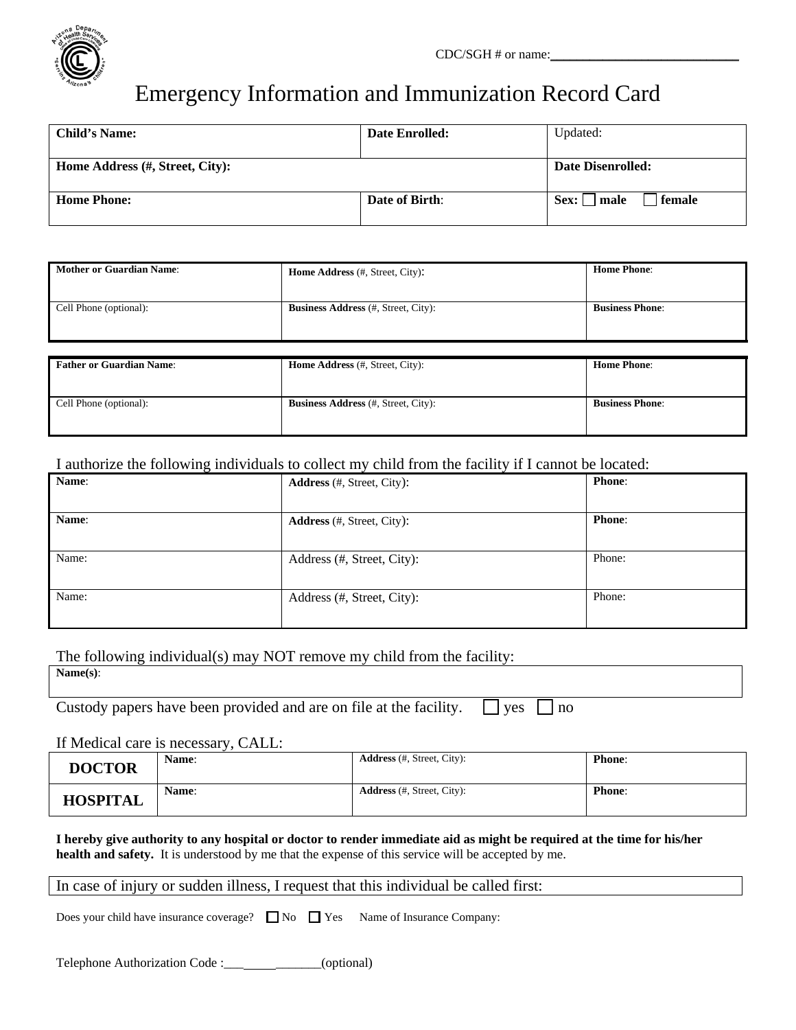

# Emergency Information and Immunization Record Card

| <b>Child's Name:</b>            | <b>Date Enrolled:</b> | Updated:                 |  |
|---------------------------------|-----------------------|--------------------------|--|
| Home Address (#, Street, City): |                       | <b>Date Disenrolled:</b> |  |
| <b>Home Phone:</b>              | <b>Date of Birth:</b> | female<br>  male<br>Sex: |  |

| <b>Mother or Guardian Name:</b> | <b>Home Address</b> (#, Street, City):     | <b>Home Phone:</b>     |
|---------------------------------|--------------------------------------------|------------------------|
| Cell Phone (optional):          | <b>Business Address</b> (#, Street, City): | <b>Business Phone:</b> |
|                                 |                                            |                        |
|                                 |                                            |                        |
| <b>Father or Guardian Name:</b> | <b>Home Address</b> (#, Street, City):     | <b>Home Phone:</b>     |
|                                 |                                            |                        |
| Cell Phone (optional):          | <b>Business Address</b> (#, Street, City): | <b>Business Phone:</b> |
|                                 |                                            |                        |

#### I authorize the following individuals to collect my child from the facility if I cannot be located:

| Name: | <b>Address</b> (#, Street, City): | Phone:        |
|-------|-----------------------------------|---------------|
|       |                                   |               |
| Name: | <b>Address</b> (#, Street, City): | <b>Phone:</b> |
|       |                                   |               |
| Name: | Address (#, Street, City):        | Phone:        |
|       |                                   |               |
| Name: | Address (#, Street, City):        | Phone:        |
|       |                                   |               |

The following individual(s) may NOT remove my child from the facility:

Custody papers have been provided and are on file at the facility.  $\Box$  yes  $\Box$  no

If Medical care is necessary, CALL:

| <b>DOCTOR</b>   | <b>Name:</b> | <b>Address</b> (#, Street, City): | <b>Phone:</b> |
|-----------------|--------------|-----------------------------------|---------------|
| <b>HOSPITAL</b> | <b>Name:</b> | <b>Address</b> (#, Street, City): | <b>Phone:</b> |

**I hereby give authority to any hospital or doctor to render immediate aid as might be required at the time for his/her health and safety.** It is understood by me that the expense of this service will be accepted by me.

#### In case of injury or sudden illness, I request that this individual be called first:

Does your child have insurance coverage?  $\Box$  No  $\Box$  Yes Name of Insurance Company:

Telephone Authorization Code : \_\_\_ \_\_\_\_\_\_\_\_(optional)